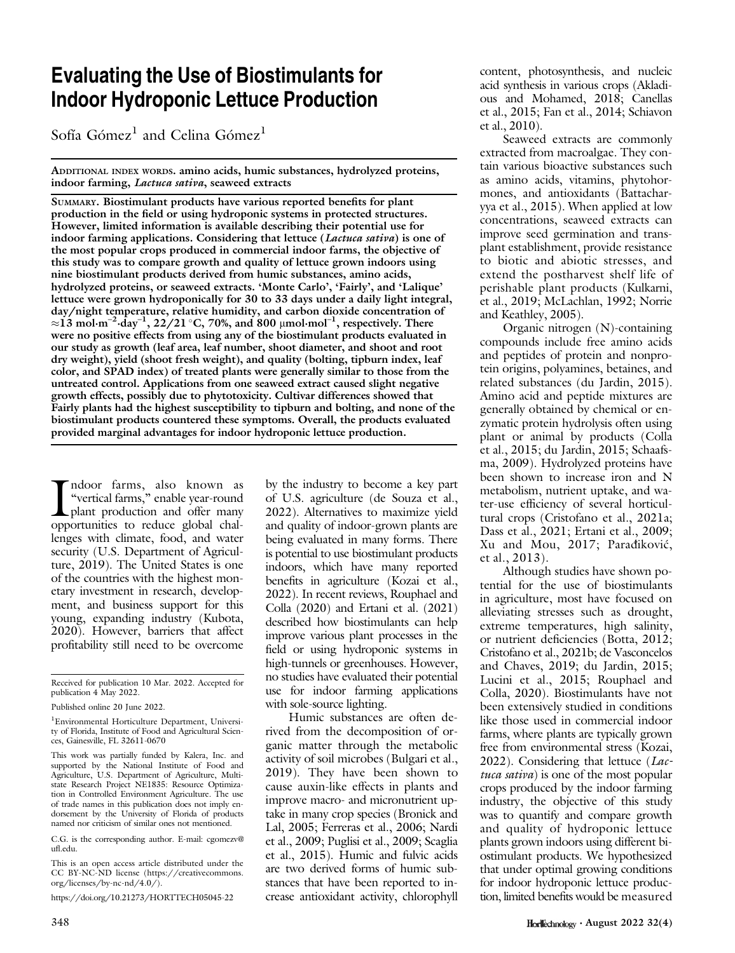## Evaluating the Use of Biostimulants for Indoor Hydroponic Lettuce Production

Sofía Gómez<sup>1</sup> and Celina Gómez<sup>1</sup>

ADDITIONAL INDEX WORDS. amino acids, humic substances, hydrolyzed proteins, indoor farming, Lactuca sativa, seaweed extracts

SUMMARY. Biostimulant products have various reported benefits for plant production in the field or using hydroponic systems in protected structures. However, limited information is available describing their potential use for indoor farming applications. Considering that lettuce (Lactuca sativa) is one of the most popular crops produced in commercial indoor farms, the objective of this study was to compare growth and quality of lettuce grown indoors using nine biostimulant products derived from humic substances, amino acids, hydrolyzed proteins, or seaweed extracts. 'Monte Carlo', 'Fairly', and 'Lalique' lettuce were grown hydroponically for 30 to 33 days under a daily light integral, day/night temperature, relative humidity, and carbon dioxide concentration of  $\approx$ 13 mol·m<sup>-2</sup>·day<sup>-1</sup>, 22/21 °C, 70%, and 800 µmol·mol<sup>-1</sup>, respectively. There were no positive effects from using any of the biostimulant products evaluated in our study as growth (leaf area, leaf number, shoot diameter, and shoot and root dry weight), yield (shoot fresh weight), and quality (bolting, tipburn index, leaf color, and SPAD index) of treated plants were generally similar to those from the untreated control. Applications from one seaweed extract caused slight negative growth effects, possibly due to phytotoxicity. Cultivar differences showed that Fairly plants had the highest susceptibility to tipburn and bolting, and none of the biostimulant products countered these symptoms. Overall, the products evaluated provided marginal advantages for indoor hydroponic lettuce production.

Indoor farms, also known as<br>
"vertical farms," enable year-round<br>
plant production and offer many<br>
opportunities to reduce global chalndoor farms, also known as "vertical farms," enable year-round plant production and offer many lenges with climate, food, and water security (U.S. Department of Agriculture, 2019). The United States is one of the countries with the highest monetary investment in research, development, and business support for this young, expanding industry (Kubota, 2020). However, barriers that affect profitability still need to be overcome

C.G. is the corresponding author. E-mail: [cgomezv@](mailto:cgomezv@ufl.edu) ufl[.edu.](mailto:cgomezv@ufl.edu)

This is an open access article distributed under the CC BY-NC-ND license ([https://creativecommons.](https://creativecommons.org/licenses/by-nc-nd/4.0/) [org/licenses/by-nc-nd/4.0/\)](https://creativecommons.org/licenses/by-nc-nd/4.0/).

<https://doi.org/10.21273/HORTTECH05045-22>

by the industry to become a key part of U.S. agriculture (de Souza et al., 2022). Alternatives to maximize yield and quality of indoor-grown plants are being evaluated in many forms. There is potential to use biostimulant products indoors, which have many reported benefits in agriculture (Kozai et al., 2022). In recent reviews, Rouphael and Colla (2020) and Ertani et al. (2021) described how biostimulants can help improve various plant processes in the field or using hydroponic systems in high-tunnels or greenhouses. However, no studies have evaluated their potential use for indoor farming applications with sole-source lighting.

Humic substances are often derived from the decomposition of organic matter through the metabolic activity of soil microbes (Bulgari et al., 2019). They have been shown to cause auxin-like effects in plants and improve macro- and micronutrient uptake in many crop species (Bronick and Lal, 2005; Ferreras et al., 2006; Nardi et al., 2009; Puglisi et al., 2009; Scaglia et al., 2015). Humic and fulvic acids are two derived forms of humic substances that have been reported to increase antioxidant activity, chlorophyll

content, photosynthesis, and nucleic acid synthesis in various crops (Akladious and Mohamed, 2018; Canellas et al., 2015; Fan et al., 2014; Schiavon et al., 2010).

Seaweed extracts are commonly extracted from macroalgae. They contain various bioactive substances such as amino acids, vitamins, phytohormones, and antioxidants (Battacharyya et al., 2015). When applied at low concentrations, seaweed extracts can improve seed germination and transplant establishment, provide resistance to biotic and abiotic stresses, and extend the postharvest shelf life of perishable plant products (Kulkarni, et al., 2019; McLachlan, 1992; Norrie and Keathley, 2005).

Organic nitrogen (N)-containing compounds include free amino acids and peptides of protein and nonprotein origins, polyamines, betaines, and related substances (du Jardin, 2015). Amino acid and peptide mixtures are generally obtained by chemical or enzymatic protein hydrolysis often using plant or animal by products (Colla et al., 2015; du Jardin, 2015; Schaafsma, 2009). Hydrolyzed proteins have been shown to increase iron and N metabolism, nutrient uptake, and water-use efficiency of several horticultural crops (Cristofano et al., 2021a; Dass et al., 2021; Ertani et al., 2009; Xu and Mou, 2017; Paradiković, et al., 2013).

Although studies have shown potential for the use of biostimulants in agriculture, most have focused on alleviating stresses such as drought, extreme temperatures, high salinity, or nutrient deficiencies (Botta, 2012; Cristofano et al., 2021b; de Vasconcelos and Chaves, 2019; du Jardin, 2015; Lucini et al., 2015; Rouphael and Colla, 2020). Biostimulants have not been extensively studied in conditions like those used in commercial indoor farms, where plants are typically grown free from environmental stress (Kozai, 2022). Considering that lettuce  $(Lac$ tuca sativa) is one of the most popular crops produced by the indoor farming industry, the objective of this study was to quantify and compare growth and quality of hydroponic lettuce plants grown indoors using different biostimulant products. We hypothesized that under optimal growing conditions for indoor hydroponic lettuce production, limited benefits would be measured

Received for publication 10 Mar. 2022. Accepted for publication 4 May 2022.

Published online 20 June 2022.

<sup>1</sup> Environmental Horticulture Department, University of Florida, Institute of Food and Agricultural Sciences, Gainesville, FL 32611-0670

This work was partially funded by Kalera, Inc. and supported by the National Institute of Food and Agriculture, U.S. Department of Agriculture, Multistate Research Project NE1835: Resource Optimization in Controlled Environment Agriculture. The use of trade names in this publication does not imply endorsement by the University of Florida of products named nor criticism of similar ones not mentioned.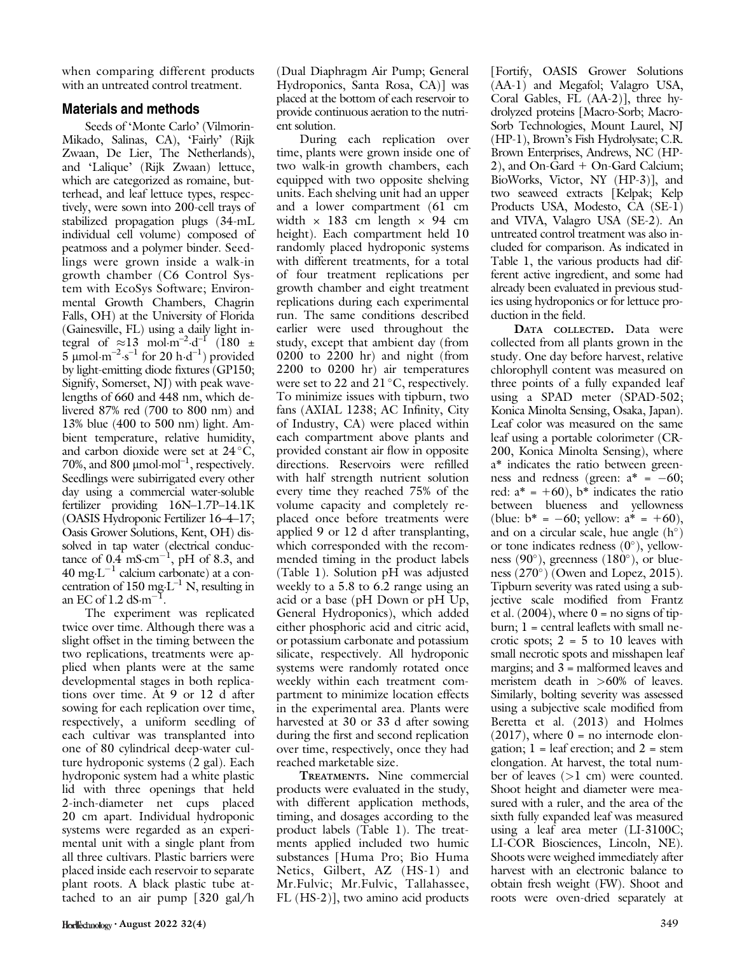when comparing different products with an untreated control treatment.

## Materials and methods

Seeds of 'Monte Carlo' (Vilmorin-Mikado, Salinas, CA), 'Fairly' (Rijk Zwaan, De Lier, The Netherlands), and 'Lalique' (Rijk Zwaan) lettuce, which are categorized as romaine, butterhead, and leaf lettuce types, respectively, were sown into 200-cell trays of stabilized propagation plugs (34-mL individual cell volume) composed of peatmoss and a polymer binder. Seedlings were grown inside a walk-in growth chamber (C6 Control System with EcoSys Software; Environmental Growth Chambers, Chagrin Falls, OH) at the University of Florida (Gainesville, FL) using a daily light integral of  $\approx 13 \text{ mol} \cdot \text{m}^{-2} \cdot \text{d}^{-1}$  (180  $\pm$  $5 \mu$ mol·m<sup>-2</sup>·s<sup>-1</sup> for 20 h·d<sup>-1</sup>) provided by light-emitting diode fixtures (GP150; Signify, Somerset, NJ) with peak wavelengths of 660 and 448 nm, which delivered 87% red (700 to 800 nm) and 13% blue (400 to 500 nm) light. Ambient temperature, relative humidity, and carbon dioxide were set at  $24^{\circ}$ C, 70%, and 800  $\mu$ mol·mol<sup>-1</sup>, respectively. Seedlings were subirrigated every other day using a commercial water-soluble fertilizer providing 16N–1.7P–14.1K (OASIS Hydroponic Fertilizer 16–4–17; Oasis Grower Solutions, Kent, OH) dissolved in tap water (electrical conductance of  $0.4 \text{ mS} \cdot \text{cm}^{-1}$ , pH of 8.3, and 40 mg $\cdot$ L<sup>-1</sup> calcium carbonate) at a concentration of 150 mg·L<sup>-1</sup> N, resulting in an EC of  $1.2$  dS $\cdot$ m<sup>-1</sup> .

The experiment was replicated twice over time. Although there was a slight offset in the timing between the two replications, treatments were applied when plants were at the same developmental stages in both replications over time. At 9 or 12 d after sowing for each replication over time, respectively, a uniform seedling of each cultivar was transplanted into one of 80 cylindrical deep-water culture hydroponic systems (2 gal). Each hydroponic system had a white plastic lid with three openings that held 2-inch-diameter net cups placed 20 cm apart. Individual hydroponic systems were regarded as an experimental unit with a single plant from all three cultivars. Plastic barriers were placed inside each reservoir to separate plant roots. A black plastic tube attached to an air pump [320 gal/h

(Dual Diaphragm Air Pump; General Hydroponics, Santa Rosa, CA)] was placed at the bottom of each reservoir to provide continuous aeration to the nutrient solution.

During each replication over time, plants were grown inside one of two walk-in growth chambers, each equipped with two opposite shelving units. Each shelving unit had an upper and a lower compartment (61 cm width  $\times$  183 cm length  $\times$  94 cm height). Each compartment held 10 randomly placed hydroponic systems with different treatments, for a total of four treatment replications per growth chamber and eight treatment replications during each experimental run. The same conditions described earlier were used throughout the study, except that ambient day (from 0200 to 2200 hr) and night (from 2200 to 0200 hr) air temperatures were set to 22 and  $21^{\circ}$ C, respectively. To minimize issues with tipburn, two fans (AXIAL 1238; AC Infinity, City of Industry, CA) were placed within each compartment above plants and provided constant air flow in opposite directions. Reservoirs were refilled with half strength nutrient solution every time they reached 75% of the volume capacity and completely replaced once before treatments were applied 9 or 12 d after transplanting, which corresponded with the recommended timing in the product labels (Table 1). Solution pH was adjusted weekly to a 5.8 to 6.2 range using an acid or a base (pH Down or pH Up, General Hydroponics), which added either phosphoric acid and citric acid, or potassium carbonate and potassium silicate, respectively. All hydroponic systems were randomly rotated once weekly within each treatment compartment to minimize location effects in the experimental area. Plants were harvested at 30 or 33 d after sowing during the first and second replication over time, respectively, once they had reached marketable size.

TREATMENTS. Nine commercial products were evaluated in the study, with different application methods, timing, and dosages according to the product labels (Table 1). The treatments applied included two humic substances [Huma Pro; Bio Huma Netics, Gilbert, AZ (HS-1) and Mr.Fulvic; Mr.Fulvic, Tallahassee, FL (HS-2)], two amino acid products [Fortify, OASIS Grower Solutions (AA-1) and Megafol; Valagro USA, Coral Gables, FL (AA-2)], three hydrolyzed proteins [Macro-Sorb; Macro-Sorb Technologies, Mount Laurel, NJ (HP-1), Brown's Fish Hydrolysate; C.R. Brown Enterprises, Andrews, NC (HP- $2$ ), and On-Gard + On-Gard Calcium; BioWorks, Victor, NY (HP-3)], and two seaweed extracts [Kelpak; Kelp Products USA, Modesto, CA (SE-1) and VIVA, Valagro USA (SE-2). An untreated control treatment was also included for comparison. As indicated in Table 1, the various products had different active ingredient, and some had already been evaluated in previous studies using hydroponics or for lettuce production in the field.

DATA COLLECTED. Data were collected from all plants grown in the study. One day before harvest, relative chlorophyll content was measured on three points of a fully expanded leaf using a SPAD meter (SPAD-502; Konica Minolta Sensing, Osaka, Japan). Leaf color was measured on the same leaf using a portable colorimeter (CR-200, Konica Minolta Sensing), where a\* indicates the ratio between greenness and redness (green:  $a^* = -60$ ; red:  $a^* = +60$ ,  $b^*$  indicates the ratio between blueness and yellowness (blue:  $b^* = -60$ ; yellow:  $a^* = +60$ ), and on a circular scale, hue angle  $(h^{\circ})$ or tone indicates redness  $(0^{\circ})$ , yellowness (90 $^{\circ}$ ), greenness (180 $^{\circ}$ ), or blueness  $(270^{\circ})$  (Owen and Lopez, 2015). Tipburn severity was rated using a subjective scale modified from Frantz et al.  $(2004)$ , where  $0 =$  no signs of tipburn;  $l =$  central leaflets with small necrotic spots;  $2 = 5$  to 10 leaves with small necrotic spots and misshapen leaf margins; and 3 = malformed leaves and meristem death in  $>60\%$  of leaves. Similarly, bolting severity was assessed using a subjective scale modified from Beretta et al. (2013) and Holmes  $(2017)$ , where  $0 =$  no internode elongation;  $1 =$  leaf erection; and  $2 =$  stem elongation. At harvest, the total number of leaves (>1 cm) were counted. Shoot height and diameter were measured with a ruler, and the area of the sixth fully expanded leaf was measured using a leaf area meter (LI-3100C; LI-COR Biosciences, Lincoln, NE). Shoots were weighed immediately after harvest with an electronic balance to obtain fresh weight (FW). Shoot and roots were oven-dried separately at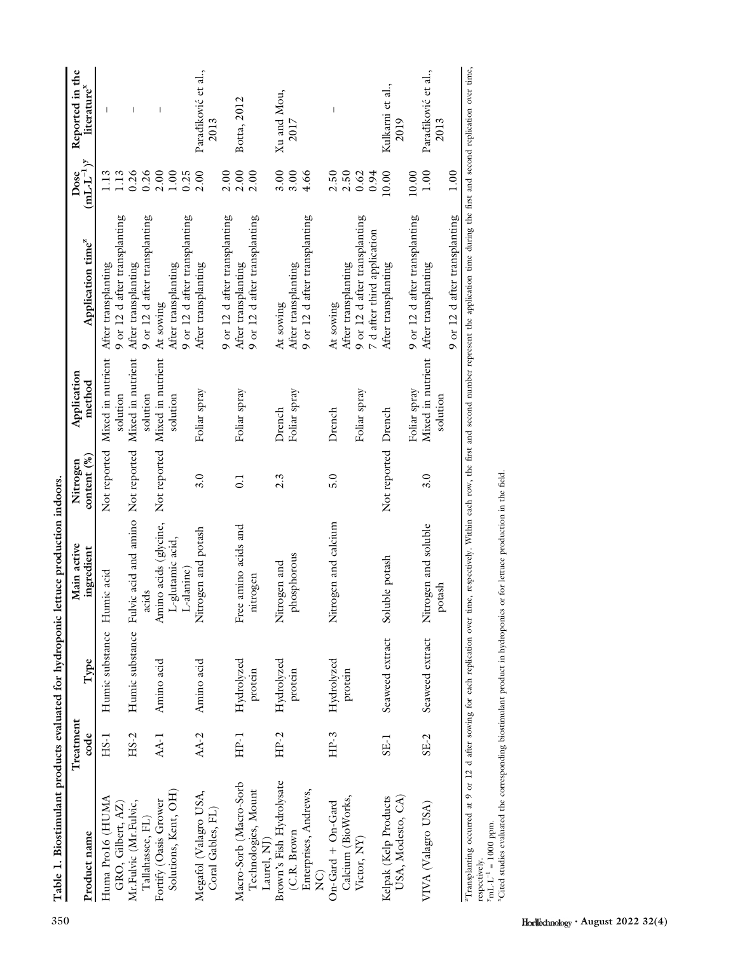| "Transplanting occurred at 9 or 12 d after sowing for each replication over time, respectively. Within each row, the first and second number represent the application time during the first and second replication over time,<br>Mixed in nutrient<br>Mixed in nutrient<br>Mixed in nutrient<br>Mixed in nutrient<br>Foliar spray<br>Foliar spray<br>Foliar spray<br>Foliar spray<br>Foliar spray<br>solution<br>solution<br>solution<br>solution<br>Drench<br>Drench<br>Not reported Drench<br>Not reported<br>Fulvic acid and amino Not reported<br>Not reported<br>3.0<br>5.0<br>3.0<br>$2.\overline{3}$<br>$\overline{0}$ .<br>Nitrogen and calcium<br>Amino acids (glycine,<br>Nitrogen and soluble<br>Free amino acids and<br>Nitrogen and potash<br>L-glutamic acid,<br>phosphorous<br>Soluble potash<br>Nitrogen and<br>L-alanine)<br>Humic substance Humic acid<br>nitrogen<br>potash<br>acids<br>Humic substance<br>Seaweed extract<br>Seaweed extract<br>Hydrolyzed<br>Hydrolyzed<br>Hydrolyzed<br>Amino acid<br>Amino acid<br>protein<br>protein<br>protein<br>$AA-2$<br>$HP-2$<br>$HP-3$<br>$HS-2$<br>$AA-1$<br>HP-1<br>$HS-1$<br>$SE-2$<br>SE-1<br>Brown's Fish Hydrolysate<br>Macro-Sorb (Macro-Sorb<br>Technologies, Mount<br>Enterprises, Andrews,<br>Solutions, Kent, OH)<br>Megafol (Valagro USA,<br>Coral Gables, FL)<br>USA, Modesto, CA)<br>Calcium (BioWorks,<br>Huma Pro16 (HUMA<br>Kelpak (Kelp Products<br>Fortify (Oasis Grower<br>Mr.Fulvic (Mr.Fulvic,<br>$On$ -Gard + $On$ -Gard<br>VIVA (Valagro USA)<br>GRO, Gilbert, AZ)<br>Tallahassee, FL)<br>$y_{\text{mL-L}}^{-1} = 1000 \text{ ppm}.$<br>(C.R. Brown<br>Victor, NY)<br>Laurel, NJ<br>respectively.<br>$\widetilde{\mathbf{Z}}$ | Product name | Treatment<br>code | Type | Main active<br>ingredient | content (%)<br>Nitrogen | Application<br>method | Application time <sup>z</sup>                                                                    | $\underline{\text{mL-L}^{-1}}$<br>Dose | Reported in the<br>literaturex |
|-----------------------------------------------------------------------------------------------------------------------------------------------------------------------------------------------------------------------------------------------------------------------------------------------------------------------------------------------------------------------------------------------------------------------------------------------------------------------------------------------------------------------------------------------------------------------------------------------------------------------------------------------------------------------------------------------------------------------------------------------------------------------------------------------------------------------------------------------------------------------------------------------------------------------------------------------------------------------------------------------------------------------------------------------------------------------------------------------------------------------------------------------------------------------------------------------------------------------------------------------------------------------------------------------------------------------------------------------------------------------------------------------------------------------------------------------------------------------------------------------------------------------------------------------------------------------------------------------------------------------------------------------------------------------------------------------------------------------|--------------|-------------------|------|---------------------------|-------------------------|-----------------------|--------------------------------------------------------------------------------------------------|----------------------------------------|--------------------------------|
|                                                                                                                                                                                                                                                                                                                                                                                                                                                                                                                                                                                                                                                                                                                                                                                                                                                                                                                                                                                                                                                                                                                                                                                                                                                                                                                                                                                                                                                                                                                                                                                                                                                                                                                       |              |                   |      |                           |                         |                       | 9 or 12 d after transplanting<br>After transplanting                                             | 1.13<br>1.13                           |                                |
|                                                                                                                                                                                                                                                                                                                                                                                                                                                                                                                                                                                                                                                                                                                                                                                                                                                                                                                                                                                                                                                                                                                                                                                                                                                                                                                                                                                                                                                                                                                                                                                                                                                                                                                       |              |                   |      |                           |                         |                       | 9 or 12 d after transplanting<br>After transplanting                                             | 0.26<br>0.26                           | $\overline{\phantom{a}}$       |
|                                                                                                                                                                                                                                                                                                                                                                                                                                                                                                                                                                                                                                                                                                                                                                                                                                                                                                                                                                                                                                                                                                                                                                                                                                                                                                                                                                                                                                                                                                                                                                                                                                                                                                                       |              |                   |      |                           |                         |                       | 9 or 12 d after transplanting<br>After transplanting<br>At sowing                                | 2.00<br>$1.00\,$<br>0.25               | $\overline{\phantom{a}}$       |
|                                                                                                                                                                                                                                                                                                                                                                                                                                                                                                                                                                                                                                                                                                                                                                                                                                                                                                                                                                                                                                                                                                                                                                                                                                                                                                                                                                                                                                                                                                                                                                                                                                                                                                                       |              |                   |      |                           |                         |                       | 9 or 12 d after transplanting<br>After transplanting                                             | 2.00<br>2.00                           | Paradiković et al.,<br>2013    |
|                                                                                                                                                                                                                                                                                                                                                                                                                                                                                                                                                                                                                                                                                                                                                                                                                                                                                                                                                                                                                                                                                                                                                                                                                                                                                                                                                                                                                                                                                                                                                                                                                                                                                                                       |              |                   |      |                           |                         |                       | 9 or 12 d after transplanting<br>After transplanting                                             | 2.00<br>2.00                           | Botta, 2012                    |
|                                                                                                                                                                                                                                                                                                                                                                                                                                                                                                                                                                                                                                                                                                                                                                                                                                                                                                                                                                                                                                                                                                                                                                                                                                                                                                                                                                                                                                                                                                                                                                                                                                                                                                                       |              |                   |      |                           |                         |                       | 9 or 12 d after transplanting<br>After transplanting<br>At sowing                                | 3.00<br>3.00<br>4.66                   | Xu and Mou,<br>2017            |
|                                                                                                                                                                                                                                                                                                                                                                                                                                                                                                                                                                                                                                                                                                                                                                                                                                                                                                                                                                                                                                                                                                                                                                                                                                                                                                                                                                                                                                                                                                                                                                                                                                                                                                                       |              |                   |      |                           |                         |                       | 9 or 12 d after transplanting<br>7 d after third application<br>After transplanting<br>At sowing | 2.50<br>2.50<br>0.94<br>0.62           | $\overline{\phantom{a}}$       |
|                                                                                                                                                                                                                                                                                                                                                                                                                                                                                                                                                                                                                                                                                                                                                                                                                                                                                                                                                                                                                                                                                                                                                                                                                                                                                                                                                                                                                                                                                                                                                                                                                                                                                                                       |              |                   |      |                           |                         |                       | After transplanting                                                                              | 10.00                                  | Kulkarni et al.,<br>2019       |
|                                                                                                                                                                                                                                                                                                                                                                                                                                                                                                                                                                                                                                                                                                                                                                                                                                                                                                                                                                                                                                                                                                                                                                                                                                                                                                                                                                                                                                                                                                                                                                                                                                                                                                                       |              |                   |      |                           |                         |                       | 9 or 12 d after transplanting<br>9 or 12 d after transplanting<br>After transplanting            | $1.00\,$<br>$10.00$<br>1.00            | Paradiković et al.,<br>2013    |
| <sup>8</sup> Cited studies evaluated the corresponding biostimulant product in hydroponics or for lettuce production in the field.                                                                                                                                                                                                                                                                                                                                                                                                                                                                                                                                                                                                                                                                                                                                                                                                                                                                                                                                                                                                                                                                                                                                                                                                                                                                                                                                                                                                                                                                                                                                                                                    |              |                   |      |                           |                         |                       |                                                                                                  |                                        |                                |

Table 1. Biostimulant products evaluated for hydroponic lettuce production indoors. Table 1. Biostimulant products evaluated for hydroponic lettuce production indoors.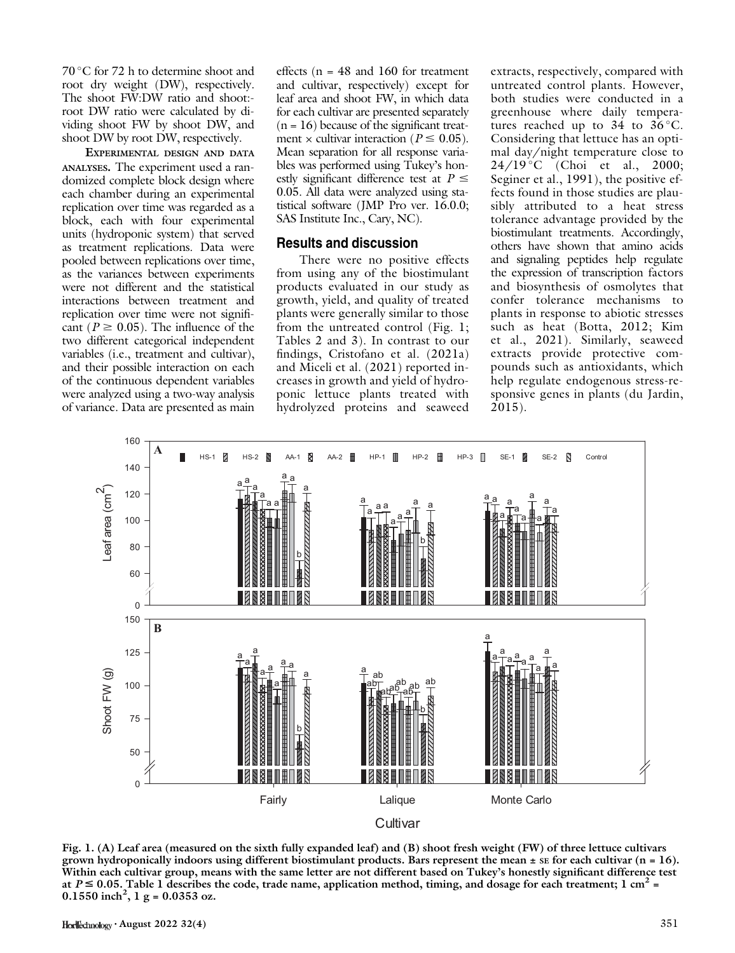$70^{\circ}$ C for 72 h to determine shoot and root dry weight (DW), respectively. The shoot FW:DW ratio and shoot: root DW ratio were calculated by dividing shoot FW by shoot DW, and shoot DW by root DW, respectively.

EXPERIMENTAL DESIGN AND DATA ANALYSES. The experiment used a randomized complete block design where each chamber during an experimental replication over time was regarded as a block, each with four experimental units (hydroponic system) that served as treatment replications. Data were pooled between replications over time, as the variances between experiments were not different and the statistical interactions between treatment and replication over time were not significant ( $P \ge 0.05$ ). The influence of the two different categorical independent variables (i.e., treatment and cultivar), and their possible interaction on each of the continuous dependent variables were analyzed using a two-way analysis of variance. Data are presented as main

effects ( $n = 48$  and 160 for treatment and cultivar, respectively) except for leaf area and shoot FW, in which data for each cultivar are presented separately  $(n = 16)$  because of the significant treatment  $\times$  cultivar interaction ( $P \leq 0.05$ ). Mean separation for all response variables was performed using Tukey's honestly significant difference test at  $P \leq$ 0.05. All data were analyzed using statistical software (JMP Pro ver. 16.0.0; SAS Institute Inc., Cary, NC).

## Results and discussion

There were no positive effects from using any of the biostimulant products evaluated in our study as growth, yield, and quality of treated plants were generally similar to those from the untreated control (Fig. 1; Tables 2 and 3). In contrast to our findings, Cristofano et al. (2021a) and Miceli et al. (2021) reported increases in growth and yield of hydroponic lettuce plants treated with hydrolyzed proteins and seaweed

extracts, respectively, compared with untreated control plants. However, both studies were conducted in a greenhouse where daily temperatures reached up to  $34$  to  $36^{\circ}$ C. Considering that lettuce has an optimal day/night temperature close to 24/19 °C (Choi et al., 2000; Seginer et al., 1991), the positive effects found in those studies are plausibly attributed to a heat stress tolerance advantage provided by the biostimulant treatments. Accordingly, others have shown that amino acids and signaling peptides help regulate the expression of transcription factors and biosynthesis of osmolytes that confer tolerance mechanisms to plants in response to abiotic stresses such as heat (Botta, 2012; Kim et al., 2021). Similarly, seaweed extracts provide protective compounds such as antioxidants, which help regulate endogenous stress-responsive genes in plants (du Jardin, 2015).



Fig. 1. (A) Leaf area (measured on the sixth fully expanded leaf) and (B) shoot fresh weight (FW) of three lettuce cultivars grown hydroponically indoors using different biostimulant products. Bars represent the mean  $\pm$  se for each cultivar (n = 16). Within each cultivar group, means with the same letter are not different based on Tukey's honestly significant difference test at  $P \le 0.05$ . Table 1 describes the code, trade name, application method, timing, and dosage for each treatment; 1 cm<sup>2</sup> =  $0.1550$  inch<sup>2</sup>, 1 g = 0.0353 oz.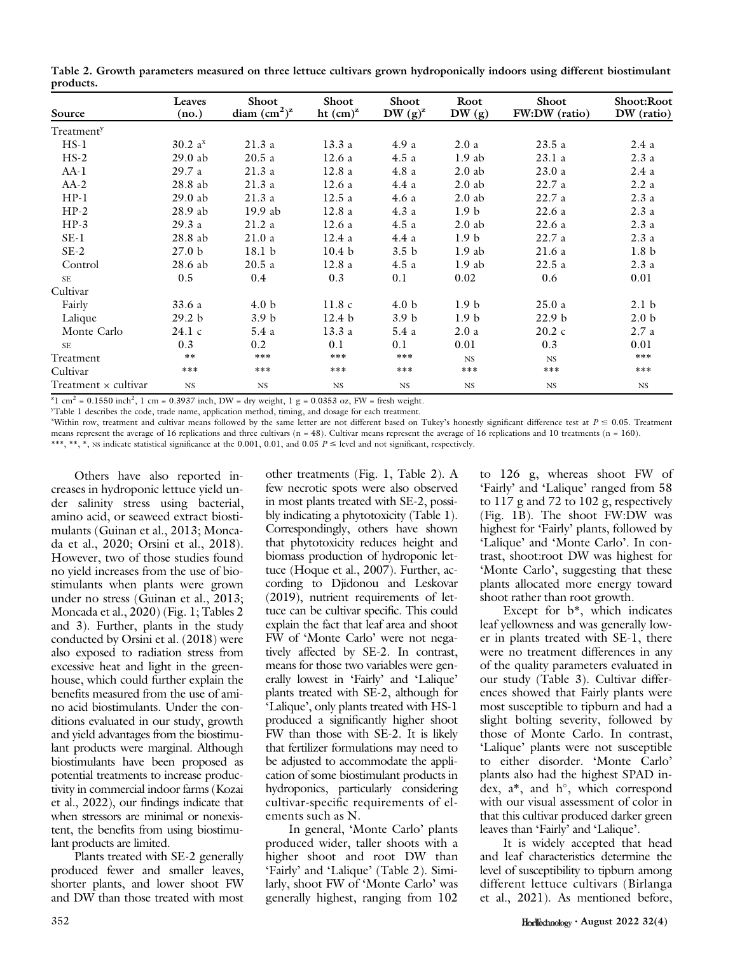|           |  |  |  | Table 2. Growth parameters measured on three lettuce cultivars grown hydroponically indoors using different biostimulant |  |  |  |
|-----------|--|--|--|--------------------------------------------------------------------------------------------------------------------------|--|--|--|
| products. |  |  |  |                                                                                                                          |  |  |  |

|                                                                                                                                                                                                                                                                                                                                                                                                                     | Leaves               | Shoot               | Shoot             | Shoot            | Root             | Shoot             | Shoot:Root       |
|---------------------------------------------------------------------------------------------------------------------------------------------------------------------------------------------------------------------------------------------------------------------------------------------------------------------------------------------------------------------------------------------------------------------|----------------------|---------------------|-------------------|------------------|------------------|-------------------|------------------|
| Source                                                                                                                                                                                                                                                                                                                                                                                                              | (no.)                | diam $\rm (cm^2)^z$ | ht $(cm)^{z}$     | DW $(g)^z$       | DW(g)            | FW:DW (ratio)     | DW (ratio)       |
| Treatment <sup>y</sup>                                                                                                                                                                                                                                                                                                                                                                                              |                      |                     |                   |                  |                  |                   |                  |
| $HS-1$                                                                                                                                                                                                                                                                                                                                                                                                              | $30.2 a^{x}$         | 21.3a               | 13.3a             | 4.9 a            | 2.0a             | 23.5a             | 2.4a             |
| $HS-2$                                                                                                                                                                                                                                                                                                                                                                                                              | $29.0$ ab            | 20.5a               | 12.6a             | 4.5a             | $1.9$ ab         | 23.1a             | 2.3a             |
| $AA-1$                                                                                                                                                                                                                                                                                                                                                                                                              | 29.7 a               | 21.3a               | 12.8a             | 4.8a             | $2.0$ ab         | 23.0a             | 2.4a             |
| $AA-2$                                                                                                                                                                                                                                                                                                                                                                                                              | 28.8 ab              | 21.3a               | 12.6a             | 4.4a             | $2.0$ ab         | 22.7a             | 2.2a             |
| $HP-1$                                                                                                                                                                                                                                                                                                                                                                                                              | $29.0$ ab            | 21.3a               | 12.5a             | 4.6a             | $2.0$ ab         | 22.7a             | 2.3a             |
| $HP-2$                                                                                                                                                                                                                                                                                                                                                                                                              | 28.9 ab              | 19.9 ab             | 12.8a             | 4.3a             | 1.9 <sub>b</sub> | 22.6a             | 2.3a             |
| $HP-3$                                                                                                                                                                                                                                                                                                                                                                                                              | 29.3a                | 21.2a               | 12.6a             | 4.5a             | $2.0$ ab         | 22.6a             | 2.3a             |
| $SE-1$                                                                                                                                                                                                                                                                                                                                                                                                              | 28.8 ab              | 21.0a               | 12.4a             | 4.4a             | 1.9 <sub>b</sub> | 22.7a             | 2.3a             |
| $SE-2$                                                                                                                                                                                                                                                                                                                                                                                                              | 27.0 <sub>b</sub>    | 18.1 <sub>b</sub>   | 10.4 <sub>b</sub> | 3.5 <sub>b</sub> | $1.9$ ab         | 21.6a             | 1.8 <sub>b</sub> |
| Control                                                                                                                                                                                                                                                                                                                                                                                                             | 28.6 ab              | 20.5a               | 12.8a             | 4.5a             | $1.9$ ab         | 22.5a             | 2.3a             |
| SE                                                                                                                                                                                                                                                                                                                                                                                                                  | 0.5                  | $0.4\,$             | 0.3               | 0.1              | 0.02             | 0.6               | 0.01             |
| Cultivar                                                                                                                                                                                                                                                                                                                                                                                                            |                      |                     |                   |                  |                  |                   |                  |
| Fairly                                                                                                                                                                                                                                                                                                                                                                                                              | 33.6 a               | 4.0 <sub>b</sub>    | 11.8c             | 4.0 <sub>b</sub> | 1.9 <sub>b</sub> | 25.0a             | 2.1 <sub>b</sub> |
| Lalique                                                                                                                                                                                                                                                                                                                                                                                                             | 29.2 b               | 3.9 <sub>b</sub>    | 12.4 <sub>b</sub> | 3.9 <sub>b</sub> | 1.9 <sub>b</sub> | 22.9 <sub>b</sub> | 2.0 <sub>b</sub> |
| Monte Carlo                                                                                                                                                                                                                                                                                                                                                                                                         | 24.1 c               | 5.4a                | 13.3a             | 5.4a             | 2.0a             | $20.2\text{ c}$   | 2.7a             |
| <b>SE</b>                                                                                                                                                                                                                                                                                                                                                                                                           | 0.3                  | 0.2                 | 0.1               | 0.1              | 0.01             | 0.3               | 0.01             |
| Treatment                                                                                                                                                                                                                                                                                                                                                                                                           | $* *$                | $***$               | ***               | $***$            | <b>NS</b>        | $_{\rm NS}$       | ***              |
| Cultivar                                                                                                                                                                                                                                                                                                                                                                                                            | $***$                | $***$               | ***               | $***$            | ***              | ***               | ***              |
| Treatment $\times$ cultivar<br>$\overline{a}$ $\overline{a}$ $\overline{a}$ $\overline{a}$ $\overline{a}$ $\overline{a}$ $\overline{a}$ $\overline{a}$ $\overline{a}$ $\overline{a}$ $\overline{a}$ $\overline{a}$ $\overline{a}$ $\overline{a}$ $\overline{a}$ $\overline{a}$ $\overline{a}$ $\overline{a}$ $\overline{a}$ $\overline{a}$ $\overline{a}$ $\overline{a}$ $\overline{a}$ $\overline{a}$ $\overline{$ | NS<br>0.000001117777 | $_{\rm NS}$         | $_{\rm NS}$       | $_{\rm NS}$      | <b>NS</b>        | <b>NS</b>         | <b>NS</b>        |

 $Z^2$ l cm<sup>2</sup> = 0.1550 inch<sup>2</sup>, 1 cm = 0.3937 inch, DW = dry weight, 1 g = 0.0353 oz, FW = fresh weight.

y Table 1 describes the code, trade name, application method, timing, and dosage for each treatment.

"Within row, treatment and cultivar means followed by the same letter are not different based on Tukey's honestly significant difference test at  $P \le 0.05$ . Treatment means represent the average of 16 replications and three cultivars (n = 48). Cultivar means represent the average of 16 replications and 10 treatments (n = 160). \*\*\*, \*\*, \*, NS indicate statistical significance at the 0.001, 0.01, and 0.05  $P \le$  level and not significant, respectively.

Others have also reported increases in hydroponic lettuce yield under salinity stress using bacterial, amino acid, or seaweed extract biostimulants (Guinan et al., 2013; Moncada et al., 2020; Orsini et al., 2018). However, two of those studies found no yield increases from the use of biostimulants when plants were grown under no stress (Guinan et al., 2013; Moncada et al., 2020) (Fig. 1; Tables 2 and 3). Further, plants in the study conducted by Orsini et al. (2018) were also exposed to radiation stress from excessive heat and light in the greenhouse, which could further explain the benefits measured from the use of amino acid biostimulants. Under the conditions evaluated in our study, growth and yield advantages from the biostimulant products were marginal. Although biostimulants have been proposed as potential treatments to increase productivity in commercial indoor farms (Kozai et al., 2022), our findings indicate that when stressors are minimal or nonexistent, the benefits from using biostimulant products are limited.

Plants treated with SE-2 generally produced fewer and smaller leaves, shorter plants, and lower shoot FW and DW than those treated with most other treatments (Fig. 1, Table 2). A few necrotic spots were also observed in most plants treated with SE-2, possibly indicating a phytotoxicity (Table 1). Correspondingly, others have shown that phytotoxicity reduces height and biomass production of hydroponic lettuce (Hoque et al., 2007). Further, according to Djidonou and Leskovar (2019), nutrient requirements of lettuce can be cultivar specific. This could explain the fact that leaf area and shoot FW of 'Monte Carlo' were not negatively affected by SE-2. In contrast, means for those two variables were generally lowest in 'Fairly' and 'Lalique' plants treated with SE-2, although for 'Lalique', only plants treated with HS-1 produced a significantly higher shoot FW than those with SE-2. It is likely that fertilizer formulations may need to be adjusted to accommodate the application of some biostimulant products in hydroponics, particularly considering cultivar-specific requirements of elements such as N.

In general, 'Monte Carlo' plants produced wider, taller shoots with a higher shoot and root DW than 'Fairly' and 'Lalique' (Table 2). Similarly, shoot FW of 'Monte Carlo' was generally highest, ranging from 102

to 126 g, whereas shoot FW of 'Fairly' and 'Lalique' ranged from 58 to 117 g and 72 to 102 g, respectively (Fig. 1B). The shoot FW:DW was highest for 'Fairly' plants, followed by 'Lalique' and 'Monte Carlo'. In contrast, shoot:root DW was highest for 'Monte Carlo', suggesting that these plants allocated more energy toward shoot rather than root growth.

Except for b\*, which indicates leaf yellowness and was generally lower in plants treated with SE-1, there were no treatment differences in any of the quality parameters evaluated in our study (Table 3). Cultivar differences showed that Fairly plants were most susceptible to tipburn and had a slight bolting severity, followed by those of Monte Carlo. In contrast, 'Lalique' plants were not susceptible to either disorder. 'Monte Carlo' plants also had the highest SPAD index,  $a^*$ , and  $h^{\circ}$ , which correspond with our visual assessment of color in that this cultivar produced darker green leaves than 'Fairly' and 'Lalique'.

It is widely accepted that head and leaf characteristics determine the level of susceptibility to tipburn among different lettuce cultivars (Birlanga et al., 2021). As mentioned before,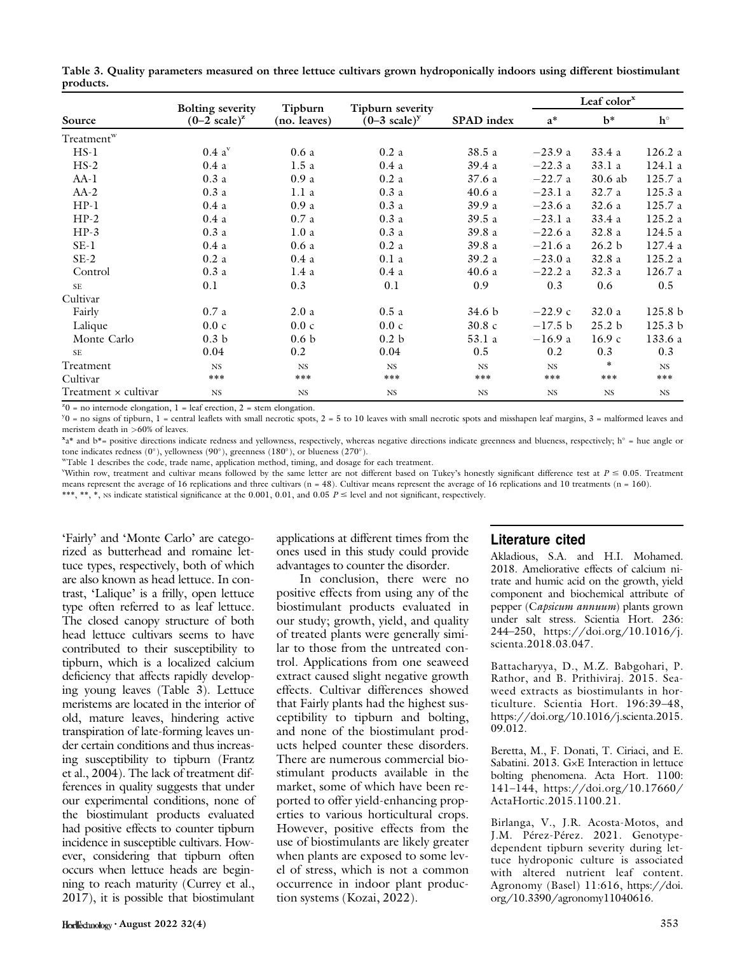|                        |                                                    | Tipburn          |                                             |            | Leaf color $x$ |                   |             |
|------------------------|----------------------------------------------------|------------------|---------------------------------------------|------------|----------------|-------------------|-------------|
| Source                 | <b>Bolting severity</b><br>$(0-2 \text{ scale})^2$ | (no. leaves)     | Tipburn severity<br>$(0-3 \text{ scale})^y$ | SPAD index | $a^*$          | $h^*$             | $h^{\circ}$ |
| Treatment <sup>w</sup> |                                                    |                  |                                             |            |                |                   |             |
| $HS-1$                 | $0.4\;{\rm a}^{\rm v}$                             | 0.6a             | 0.2a                                        | 38.5a      | $-23.9a$       | 33.4 a            | 126.2a      |
| $HS-2$                 | 0.4a                                               | 1.5a             | 0.4a                                        | 39.4 a     | $-22.3a$       | 33.1 a            | 124.1 a     |
| $AA-1$                 | 0.3a                                               | 0.9a             | 0.2a                                        | 37.6a      | $-22.7a$       | 30.6 ab           | 125.7 a     |
| $AA-2$                 | 0.3a                                               | 1.1a             | 0.3a                                        | 40.6a      | $-23.1a$       | 32.7a             | 125.3a      |
| $HP-1$                 | 0.4a                                               | 0.9a             | 0.3a                                        | 39.9 a     | $-23.6a$       | 32.6a             | 125.7 a     |
| $HP-2$                 | 0.4a                                               | 0.7a             | 0.3a                                        | 39.5a      | $-23.1a$       | 33.4 a            | 125.2 a     |
| $HP-3$                 | 0.3a                                               | 1.0a             | 0.3a                                        | 39.8 a     | $-22.6a$       | 32.8a             | 124.5a      |
| $SE-1$                 | 0.4a                                               | 0.6a             | 0.2a                                        | 39.8 a     | $-21.6a$       | 26.2 <sub>b</sub> | 127.4 a     |
| $SE-2$                 | 0.2a                                               | 0.4a             | 0.1a                                        | 39.2a      | $-23.0a$       | 32.8a             | 125.2a      |
| Control                | 0.3a                                               | 1.4a             | 0.4a                                        | 40.6a      | $-22.2a$       | 32.3a             | 126.7 a     |
| <b>SE</b>              | 0.1                                                | 0.3              | 0.1                                         | 0.9        | 0.3            | 0.6               | 0.5         |
| Cultivar               |                                                    |                  |                                             |            |                |                   |             |
| Fairly                 | 0.7a                                               | 2.0a             | 0.5a                                        | 34.6 b     | $-22.9c$       | 32.0a             | 125.8 b     |
| Lalique                | 0.0c                                               | 0.0c             | 0.0c                                        | 30.8c      | $-17.5 b$      | 25.2 <sub>b</sub> | 125.3 b     |
| Monte Carlo            | 0.3 <sub>b</sub>                                   | 0.6 <sub>b</sub> | 0.2 <sub>b</sub>                            | 53.1 a     | $-16.9a$       | 16.9c             | 133.6 a     |
| <b>SE</b>              | 0.04                                               | 0.2              | 0.04                                        | 0.5        | 0.2            | 0.3               | 0.3         |
| Treatment              | $_{\rm NS}$                                        | <b>NS</b>        | $_{\rm NS}$                                 | NS         | $_{\rm NS}$    | $\ast$            | NS          |
| Cultivar               | $***$                                              | ***              | $***$                                       | ***        | ***            | ***               | $***$       |
| Treatment × cultivar   | $_{\rm NS}$                                        | $_{NS}$          | $_{\rm NS}$                                 | NS         | $_{\rm NS}$    | $_{\rm NS}$       | $_{\rm NS}$ |

Table 3. Quality parameters measured on three lettuce cultivars grown hydroponically indoors using different biostimulant products.

 $z_0$  = no internode elongation, 1 = leaf erection, 2 = stem elongation.

 $y_0$  = no signs of tipburn, 1 = central leaflets with small necrotic spots, 2 = 5 to 10 leaves with small necrotic spots and misshapen leaf margins, 3 = malformed leaves and meristem death in >60% of leaves.

 $x_3$ \* and b\*= positive directions indicate redness and yellowness, respectively, whereas negative directions indicate greenness and blueness, respectively; h° = hue angle or tone indicates redness (0°), yellowness (90°), greenness (180°), or blueness (270°).

wTable 1 describes the code, trade name, application method, timing, and dosage for each treatment.

Within row, treatment and cultivar means followed by the same letter are not different based on Tukey's honestly significant difference test at  $P \le 0.05$ . Treatment means represent the average of 16 replications and three cultivars  $(n = 48)$ . Cultivar means represent the average of 16 replications and 10 treatments  $(n = 160)$ . \*\*\*, \*\*, \*, NS indicate statistical significance at the 0.001, 0.01, and 0.05  $P \le$  level and not significant, respectively.

'Fairly' and 'Monte Carlo' are categorized as butterhead and romaine lettuce types, respectively, both of which are also known as head lettuce. In contrast, 'Lalique' is a frilly, open lettuce type often referred to as leaf lettuce. The closed canopy structure of both head lettuce cultivars seems to have contributed to their susceptibility to tipburn, which is a localized calcium deficiency that affects rapidly developing young leaves (Table 3). Lettuce meristems are located in the interior of old, mature leaves, hindering active transpiration of late-forming leaves under certain conditions and thus increasing susceptibility to tipburn (Frantz et al., 2004). The lack of treatment differences in quality suggests that under our experimental conditions, none of the biostimulant products evaluated had positive effects to counter tipburn incidence in susceptible cultivars. However, considering that tipburn often occurs when lettuce heads are beginning to reach maturity (Currey et al., 2017), it is possible that biostimulant

applications at different times from the ones used in this study could provide advantages to counter the disorder.

In conclusion, there were no positive effects from using any of the biostimulant products evaluated in our study; growth, yield, and quality of treated plants were generally similar to those from the untreated control. Applications from one seaweed extract caused slight negative growth effects. Cultivar differences showed that Fairly plants had the highest susceptibility to tipburn and bolting, and none of the biostimulant products helped counter these disorders. There are numerous commercial biostimulant products available in the market, some of which have been reported to offer yield-enhancing properties to various horticultural crops. However, positive effects from the use of biostimulants are likely greater when plants are exposed to some level of stress, which is not a common occurrence in indoor plant production systems (Kozai, 2022).

## Literature cited

Akladious, S.A. and H.I. Mohamed. 2018. Ameliorative effects of calcium nitrate and humic acid on the growth, yield component and biochemical attribute of pepper (Capsicum annuum) plants grown under salt stress. Scientia Hort. 236: 244–250, [https://doi.org/10.1016/j.](https://doi.org/10.1016/j.scienta.2018.03.047) [scienta.2018.03.047.](https://doi.org/10.1016/j.scienta.2018.03.047)

Battacharyya, D., M.Z. Babgohari, P. Rathor, and B. Prithiviraj. 2015. Seaweed extracts as biostimulants in horticulture. Scientia Hort. 196:39–48, [https://doi.org/10.1016/j.scienta.2015.](https://doi.org/10.1016/j.scienta.2015.09.012) [09.012](https://doi.org/10.1016/j.scienta.2015.09.012).

Beretta, M., F. Donati, T. Ciriaci, and E. Sabatini. 2013. G×E Interaction in lettuce bolting phenomena. Acta Hort. 1100: 141–144, [https://doi.org/10.17660/](https://doi.org/10.17660/ActaHortic.2015.1100.21) [ActaHortic.2015.1100.21](https://doi.org/10.17660/ActaHortic.2015.1100.21).

Birlanga, V., J.R. Acosta-Motos, and J.M. Pérez-Pérez. 2021. Genotypedependent tipburn severity during lettuce hydroponic culture is associated with altered nutrient leaf content. Agronomy (Basel) 11:616, [https://doi.](https://doi.org/10.3390/agronomy11040616) [org/10.3390/agronomy11040616](https://doi.org/10.3390/agronomy11040616).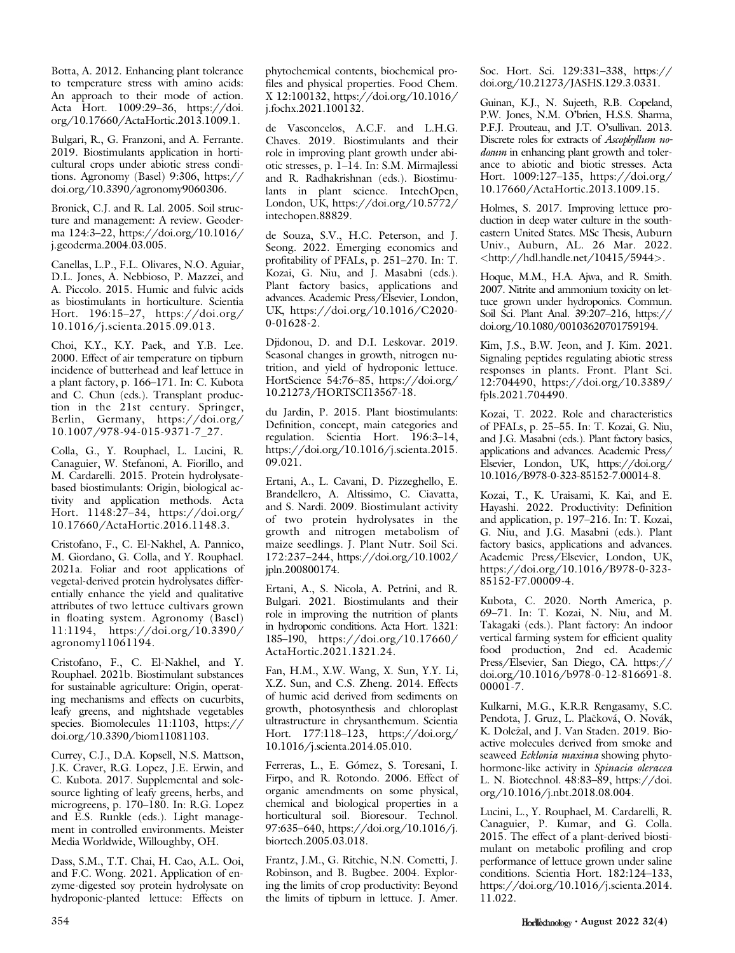Botta, A. 2012. Enhancing plant tolerance to temperature stress with amino acids: An approach to their mode of action. Acta Hort. 1009:29–36, [https://doi.](https://doi.org/10.17660/ActaHortic.2013.1009.1) [org/10.17660/ActaHortic.2013.1009.1.](https://doi.org/10.17660/ActaHortic.2013.1009.1)

Bulgari, R., G. Franzoni, and A. Ferrante. 2019. Biostimulants application in horticultural crops under abiotic stress conditions. Agronomy (Basel) 9:306, [https://](https://doi.org/10.3390/agronomy9060306) [doi.org/10.3390/agronomy9060306.](https://doi.org/10.3390/agronomy9060306)

Bronick, C.J. and R. Lal. 2005. Soil structure and management: A review. Geoderma 124:3–22, [https://doi.org/10.1016/](https://doi.org/10.1016/j.geoderma.2004.03.005) [j.geoderma.2004.03.005](https://doi.org/10.1016/j.geoderma.2004.03.005).

Canellas, L.P., F.L. Olivares, N.O. Aguiar, D.L. Jones, A. Nebbioso, P. Mazzei, and A. Piccolo. 2015. Humic and fulvic acids as biostimulants in horticulture. Scientia Hort. 196:15–27, [https://doi.org/](https://doi.org/10.1016/j.scienta.2015.09.013) [10.1016/j.scienta.2015.09.013.](https://doi.org/10.1016/j.scienta.2015.09.013)

Choi, K.Y., K.Y. Paek, and Y.B. Lee. 2000. Effect of air temperature on tipburn incidence of butterhead and leaf lettuce in a plant factory, p. 166–171. In: C. Kubota and C. Chun (eds.). Transplant production in the 21st century. Springer, Berlin, Germany, [https://doi.org/](https://doi.org/10.1007/978-94-015-9371-7_27) [10.1007/978-94-015-9371-7\\_27.](https://doi.org/10.1007/978-94-015-9371-7_27)

Colla, G., Y. Rouphael, L. Lucini, R. Canaguier, W. Stefanoni, A. Fiorillo, and M. Cardarelli. 2015. Protein hydrolysatebased biostimulants: Origin, biological activity and application methods. Acta Hort. 1148:27–34, [https://doi.org/](https://doi.org/10.17660/ActaHortic.2016.1148.3) [10.17660/ActaHortic.2016.1148.3](https://doi.org/10.17660/ActaHortic.2016.1148.3).

Cristofano, F., C. El-Nakhel, A. Pannico, M. Giordano, G. Colla, and Y. Rouphael. 2021a. Foliar and root applications of vegetal-derived protein hydrolysates differentially enhance the yield and qualitative attributes of two lettuce cultivars grown in floating system. Agronomy (Basel) 11:1194, [https://doi.org/10.3390/](https://doi.org/10.3390/agronomy11061194) [agronomy11061194](https://doi.org/10.3390/agronomy11061194).

Cristofano, F., C. El-Nakhel, and Y. Rouphael. 2021b. Biostimulant substances for sustainable agriculture: Origin, operating mechanisms and effects on cucurbits, leafy greens, and nightshade vegetables species. Biomolecules 11:1103, [https://](https://doi.org/10.3390/biom11081103) [doi.org/10.3390/biom11081103](https://doi.org/10.3390/biom11081103).

Currey, C.J., D.A. Kopsell, N.S. Mattson, J.K. Craver, R.G. Lopez, J.E. Erwin, and C. Kubota. 2017. Supplemental and solesource lighting of leafy greens, herbs, and microgreens, p. 170–180. In: R.G. Lopez and E.S. Runkle (eds.). Light management in controlled environments. Meister Media Worldwide, Willoughby, OH.

Dass, S.M., T.T. Chai, H. Cao, A.L. Ooi, and F.C. Wong. 2021. Application of enzyme-digested soy protein hydrolysate on hydroponic-planted lettuce: Effects on phytochemical contents, biochemical profiles and physical properties. Food Chem. X 12:100132, [https://doi.org/10.1016/](https://doi.org/10.1016/j.fochx.2021.100132) [j.fochx.2021.100132.](https://doi.org/10.1016/j.fochx.2021.100132)

de Vasconcelos, A.C.F. and L.H.G. Chaves. 2019. Biostimulants and their role in improving plant growth under abiotic stresses, p. 1–14. In: S.M. Mirmajlessi and R. Radhakrishnan (eds.). Biostimulants in plant science. IntechOpen, London, UK, [https://doi.org/10.5772/](https://doi.org/10.5772/intechopen.88829) [intechopen.88829.](https://doi.org/10.5772/intechopen.88829)

de Souza, S.V., H.C. Peterson, and J. Seong. 2022. Emerging economics and profitability of PFALs, p. 251–270. In: T. Kozai, G. Niu, and J. Masabni (eds.). Plant factory basics, applications and advances. Academic Press/Elsevier, London, UK, [https://doi.org/10.1016/C2020-](https://doi.org/10.1016/C2020-0-01628-2) [0-01628-2](https://doi.org/10.1016/C2020-0-01628-2).

Djidonou, D. and D.I. Leskovar. 2019. Seasonal changes in growth, nitrogen nutrition, and yield of hydroponic lettuce. HortScience 54:76–85, [https://doi.org/](https://doi.org/10.21273/HORTSCI13567-18) [10.21273/HORTSCI13567-18](https://doi.org/10.21273/HORTSCI13567-18).

du Jardin, P. 2015. Plant biostimulants: Definition, concept, main categories and regulation. Scientia Hort. 196:3–14, [https://doi.org/10.1016/j.scienta.2015.](https://doi.org/10.1016/j.scienta.2015.09.021) [09.021](https://doi.org/10.1016/j.scienta.2015.09.021).

Ertani, A., L. Cavani, D. Pizzeghello, E. Brandellero, A. Altissimo, C. Ciavatta, and S. Nardi. 2009. Biostimulant activity of two protein hydrolysates in the growth and nitrogen metabolism of maize seedlings. J. Plant Nutr. Soil Sci. 172:237–244, [https://doi.org/10.1002/](https://doi.org/10.1002/jpln.200800174) [jpln.200800174](https://doi.org/10.1002/jpln.200800174).

Ertani, A., S. Nicola, A. Petrini, and R. Bulgari. 2021. Biostimulants and their role in improving the nutrition of plants in hydroponic conditions. Acta Hort. 1321: 185–190, [https://doi.org/10.17660/](https://doi.org/10.17660/ActaHortic.2021.1321.24) [ActaHortic.2021.1321.24](https://doi.org/10.17660/ActaHortic.2021.1321.24).

Fan, H.M., X.W. Wang, X. Sun, Y.Y. Li, X.Z. Sun, and C.S. Zheng. 2014. Effects of humic acid derived from sediments on growth, photosynthesis and chloroplast ultrastructure in chrysanthemum. Scientia Hort. 177:118–123, [https://doi.org/](https://doi.org/10.1016/j.scienta.2014.05.010) [10.1016/j.scienta.2014.05.010.](https://doi.org/10.1016/j.scienta.2014.05.010)

Ferreras, L., E. Gómez, S. Toresani, I. Firpo, and R. Rotondo. 2006. Effect of organic amendments on some physical, chemical and biological properties in a horticultural soil. Bioresour. Technol. 97:635–640, [https://doi.org/10.1016/j.](https://doi.org/10.1016/j.biortech.2005.03.018) [biortech.2005.03.018.](https://doi.org/10.1016/j.biortech.2005.03.018)

Frantz, J.M., G. Ritchie, N.N. Cometti, J. Robinson, and B. Bugbee. 2004. Exploring the limits of crop productivity: Beyond the limits of tipburn in lettuce. J. Amer. Soc. Hort. Sci. 129:331–338, [https://](https://doi.org/10.21273/JASHS.129.3.0331) [doi.org/10.21273/JASHS.129.3.0331.](https://doi.org/10.21273/JASHS.129.3.0331)

Guinan, K.J., N. Sujeeth, R.B. Copeland, P.W. Jones, N.M. O'brien, H.S.S. Sharma, P.F.J. Prouteau, and J.T. O'sullivan. 2013. Discrete roles for extracts of Ascophyllum nodosum in enhancing plant growth and tolerance to abiotic and biotic stresses. Acta Hort. 1009:127–135, [https://doi.org/](https://doi.org/10.17660/ActaHortic.2013.1009.15) [10.17660/ActaHortic.2013.1009.15](https://doi.org/10.17660/ActaHortic.2013.1009.15).

Holmes, S. 2017. Improving lettuce production in deep water culture in the southeastern United States. MSc Thesis, Auburn Univ., Auburn, AL. 26 Mar. 2022. <<http://hdl.handle.net/10415/5944>>.

Hoque, M.M., H.A. Ajwa, and R. Smith. 2007. Nitrite and ammonium toxicity on lettuce grown under hydroponics. Commun. Soil Sci. Plant Anal. 39:207–216, [https://](https://doi.org/10.1080/00103620701759194) [doi.org/10.1080/00103620701759194](https://doi.org/10.1080/00103620701759194).

Kim, J.S., B.W. Jeon, and J. Kim. 2021. Signaling peptides regulating abiotic stress responses in plants. Front. Plant Sci. 12:704490, [https://doi.org/10.3389/](https://doi.org/10.3389/fpls.2021.704490) [fpls.2021.704490.](https://doi.org/10.3389/fpls.2021.704490)

Kozai, T. 2022. Role and characteristics of PFALs, p. 25–55. In: T. Kozai, G. Niu, and J.G. Masabni (eds.). Plant factory basics, applications and advances. Academic Press/ Elsevier, London, UK, [https://doi.org/](https://doi.org/10.1016/B978-0-323-85152-7.00014-8) [10.1016/B978-0-323-85152-7.00014-8](https://doi.org/10.1016/B978-0-323-85152-7.00014-8).

Kozai, T., K. Uraisami, K. Kai, and E. Hayashi. 2022. Productivity: Definition and application, p. 197–216. In: T. Kozai, G. Niu, and J.G. Masabni (eds.). Plant factory basics, applications and advances. Academic Press/Elsevier, London, UK, [https://doi.org/10.1016/B978-0-323-](https://doi.org/10.1016/B978-0-323-85152-F7.00009-4) [85152-F7.00009-4.](https://doi.org/10.1016/B978-0-323-85152-F7.00009-4)

Kubota, C. 2020. North America, p. 69–71. In: T. Kozai, N. Niu, and M. Takagaki (eds.). Plant factory: An indoor vertical farming system for efficient quality food production, 2nd ed. Academic Press/Elsevier, San Diego, CA. [https://](https://doi.org/10.1016/b978-0-12-816691-8.00001-7) [doi.org/10.1016/b978-0-12-816691-8.](https://doi.org/10.1016/b978-0-12-816691-8.00001-7) [00001-7.](https://doi.org/10.1016/b978-0-12-816691-8.00001-7)

Kulkarni, M.G., K.R.R Rengasamy, S.C. Pendota, J. Gruz, L. Plačková, O. Novák, K. Dolezal, and J. Van Staden. 2019. Bioactive molecules derived from smoke and seaweed Ecklonia maxima showing phytohormone-like activity in Spinacia oleracea L. N. Biotechnol. 48:83–89, [https://doi.](https://doi.org/10.1016/j.nbt.2018.08.004) [org/10.1016/j.nbt.2018.08.004.](https://doi.org/10.1016/j.nbt.2018.08.004)

Lucini, L., Y. Rouphael, M. Cardarelli, R. Canaguier, P. Kumar, and G. Colla. 2015. The effect of a plant-derived biostimulant on metabolic profiling and crop performance of lettuce grown under saline conditions. Scientia Hort. 182:124–133, [https://doi.org/10.1016/j.scienta.2014.](https://doi.org/10.1016/j.scienta.2014.11.022) [11.022](https://doi.org/10.1016/j.scienta.2014.11.022).